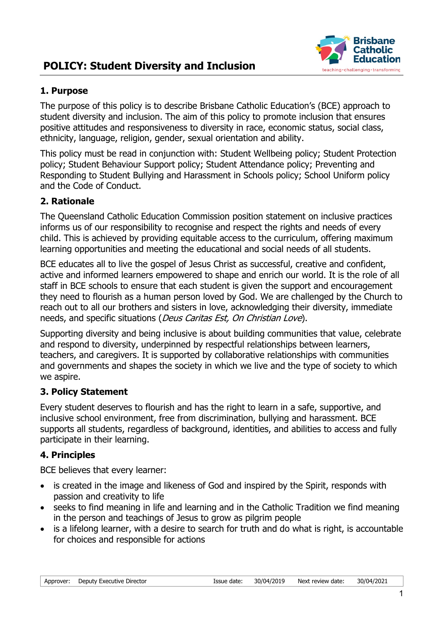# **POLICY: Student Diversity and Inclusion**



#### **1. Purpose**

The purpose of this policy is to describe Brisbane Catholic Education's (BCE) approach to student diversity and inclusion. The aim of this policy to promote inclusion that ensures positive attitudes and responsiveness to diversity in race, economic status, social class, ethnicity, language, religion, gender, sexual orientation and ability.

This policy must be read in conjunction with: Student Wellbeing policy; Student Protection policy; Student Behaviour Support policy; Student Attendance policy; Preventing and Responding to Student Bullying and Harassment in Schools policy; School Uniform policy and the Code of Conduct.

### **2. Rationale**

The Queensland Catholic Education Commission position statement on inclusive practices informs us of our responsibility to recognise and respect the rights and needs of every child. This is achieved by providing equitable access to the curriculum, offering maximum learning opportunities and meeting the educational and social needs of all students.

BCE educates all to live the gospel of Jesus Christ as successful, creative and confident, active and informed learners empowered to shape and enrich our world. It is the role of all staff in BCE schools to ensure that each student is given the support and encouragement they need to flourish as a human person loved by God. We are challenged by the Church to reach out to all our brothers and sisters in love, acknowledging their diversity, immediate needs, and specific situations (Deus Caritas Est, On Christian Love).

Supporting diversity and being inclusive is about building communities that value, celebrate and respond to diversity, underpinned by respectful relationships between learners, teachers, and caregivers. It is supported by collaborative relationships with communities and governments and shapes the society in which we live and the type of society to which we aspire.

#### **3. Policy Statement**

Every student deserves to flourish and has the right to learn in a safe, supportive, and inclusive school environment, free from discrimination, bullying and harassment. BCE supports all students, regardless of background, identities, and abilities to access and fully participate in their learning.

#### **4. Principles**

BCE believes that every learner:

- is created in the image and likeness of God and inspired by the Spirit, responds with passion and creativity to life
- seeks to find meaning in life and learning and in the Catholic Tradition we find meaning in the person and teachings of Jesus to grow as pilgrim people
- is a lifelong learner, with a desire to search for truth and do what is right, is accountable for choices and responsible for actions